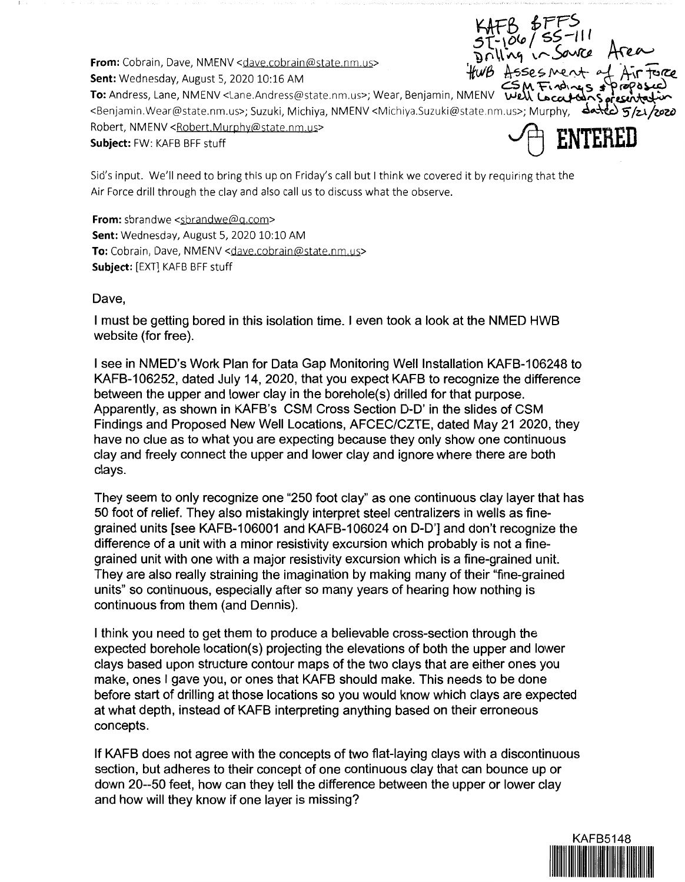From: Cobrain, Dave, NMENV <dave.cobrain@state.nm.us>  $HwB$  Asses Ment. of Air Force<br>Sent: Wednesday, August 5, 2020 10:16 AM ,<br>The Audence Lesse Allace Andrew Order comes Wess Beginning MAFAIX (S.M. Fradings & Pragosce)

 $KAFB, 6FFS$ **ATD**<br>51-106/ 55-111 <sup>11</sup>h,.. ·I\ - -

From: Cobrain, Dave, NMENV <dave.cobrain@state.nm.us><br> **Sent:** Wednesday, August 5, 2020 10:16 AM<br> **Sent:** Wednesday, August 5, 2020 10:16 AM<br> **To:** Andress, Lane, NMENV <Lane.Andress@state.nm.us>; Wear, Benjamin, NMENV **W** <Benjamin.Wear@state.nm.us>; Suzuki, Michiya, NMENV <Michiya.Suzuki@state.nm.us>; Murphy, ~"'--~ **S' /zJ.jlJJ'Zi>**  Robert, NMENV <Robert.Murphy@state.nm.us> ~ **ENTERED**  Robert, NMENV < Robert. Murphy@state.nm.us><br>**Subject:** FW: KAFB BFF stuff

Sid's input. We'll need to bring this up on Friday's call but I think we covered it by requiring that the Air Force drill through the clay and also call us to discuss what the observe.

**From:** sbrandwe <sbrandwe@g.com> **Sent:** Wednesday, August 5, 2020 10:10 AM To: Cobrain, Dave, NMENV <dave.cobrain@state.nm.us> **Subject:** [EXT] KAFB BFF stuff

## Dave,

I must be getting bored in this isolation time. I even took a look at the NMED HWB website (for free).

I see in NMED's Work Plan for Data Gap Monitoring Well Installation KAFB-106248 to KAFB-106252, dated July 14, 2020, that you expect KAFB to recognize the difference between the upper and lower clay in the borehole(s) drilled for that purpose. Apparently, as shown in KAFB's CSM Cross Section D-D' in the slides of CSM Findings and Proposed New Well Locations, AFCEC/CZTE, dated May 21 2020, they have no clue as to what you are expecting because they only show one continuous clay and freely connect the upper and lower clay and ignore where there are both clays.

They seem to only recognize one "250 foot clay" as one continuous clay layer that has 50 foot of relief. They also mistakingly interpret steel centralizers in wells as finegrained units [see KAFB-106001 and KAFB-106024 on D-D'] and don't recognize the difference of a unit with a minor resistivity excursion which probably is not a finegrained unit with one with a major resistivity excursion which is a fine-grained unit. They are also really straining the imagination by making many of their "fine-grained units" so continuous, especially after so many years of hearing how nothing is continuous from them (and Dennis).

I think you need to get them to produce a believable cross-section through the expected borehole location(s) projecting the elevations of both the upper and lower clays based upon structure contour maps of the two clays that are either ones you make, ones I gave you, or ones that KAFB should make. This needs to be done before start of drilling at those locations so you would know which clays are expected at what depth, instead of KAFB interpreting anything based on their erroneous concepts.

If KAFB does not agree with the concepts of two flat-laying clays with a discontinuous section, but adheres to their concept of one continuous clay that can bounce up or down 20--50 feet, how can they tell the difference between the upper or lower clay and how will they know if one layer is missing?